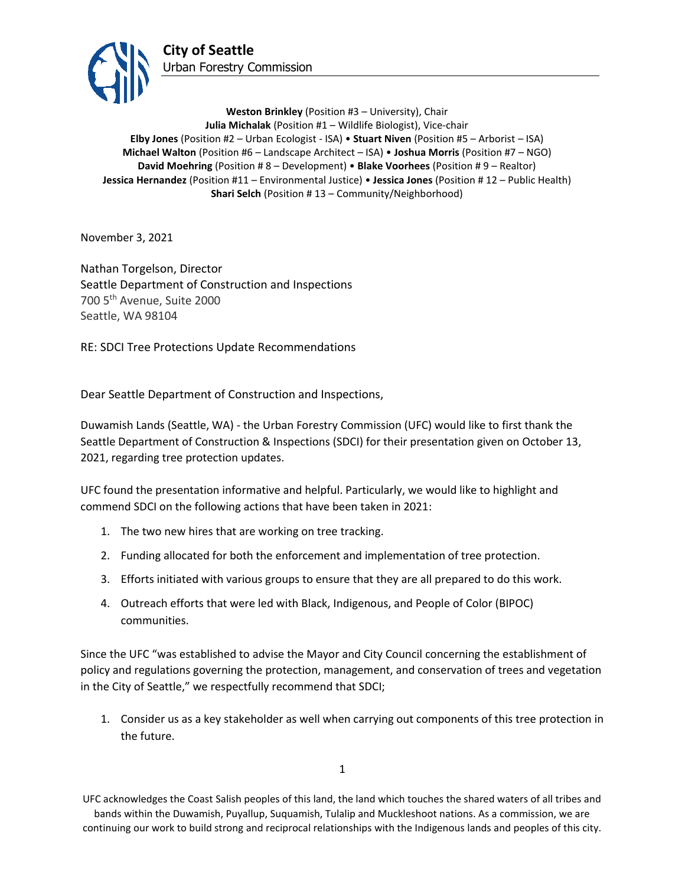

**Weston Brinkley** (Position #3 – University), Chair **Julia Michalak** (Position #1 – Wildlife Biologist), Vice-chair **Elby Jones** (Position #2 – Urban Ecologist - ISA) • **Stuart Niven** (Position #5 – Arborist – ISA) **Michael Walton** (Position #6 – Landscape Architect – ISA) • **Joshua Morris** (Position #7 – NGO) **David Moehring** (Position # 8 – Development) • **Blake Voorhees** (Position # 9 – Realtor) **Jessica Hernandez** (Position #11 – Environmental Justice) • **Jessica Jones** (Position # 12 – Public Health) **Shari Selch** (Position #13 – Community/Neighborhood)

November 3, 2021

Nathan Torgelson, Director Seattle Department of Construction and Inspections 700 5th Avenue, Suite 2000 Seattle, WA 98104

RE: SDCI Tree Protections Update Recommendations

Dear Seattle Department of Construction and Inspections,

Duwamish Lands (Seattle, WA) - the Urban Forestry Commission (UFC) would like to first thank the Seattle Department of Construction & Inspections (SDCI) for their presentation given on October 13, 2021, regarding tree protection updates.

UFC found the presentation informative and helpful. Particularly, we would like to highlight and commend SDCI on the following actions that have been taken in 2021:

- 1. The two new hires that are working on tree tracking.
- 2. Funding allocated for both the enforcement and implementation of tree protection.
- 3. Efforts initiated with various groups to ensure that they are all prepared to do this work.
- 4. Outreach efforts that were led with Black, Indigenous, and People of Color (BIPOC) communities.

Since the UFC "was established to advise the Mayor and City Council concerning the establishment of policy and regulations governing the protection, management, and conservation of trees and vegetation in the City of Seattle," we respectfully recommend that SDCI;

1. Consider us as a key stakeholder as well when carrying out components of this tree protection in the future.

1

UFC acknowledges the Coast Salish peoples of this land, the land which touches the shared waters of all tribes and bands within the Duwamish, Puyallup, Suquamish, Tulalip and Muckleshoot nations. As a commission, we are continuing our work to build strong and reciprocal relationships with the Indigenous lands and peoples of this city.